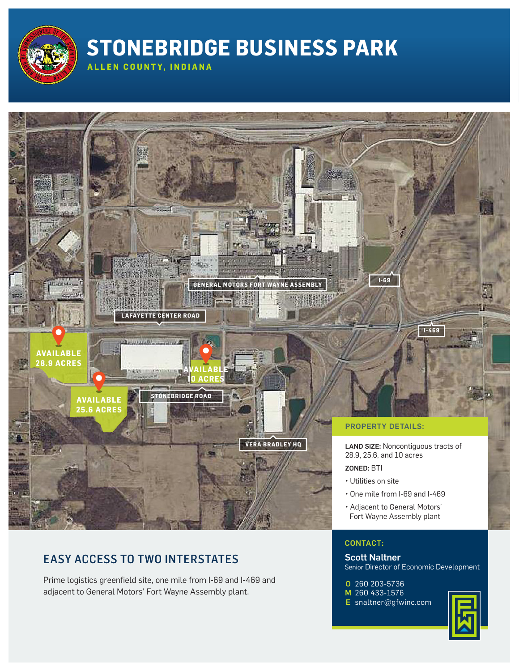

## **STONEBRIDGE BUSINESS PARK**

**ALLEN COUNTY, INDIANA**



## EASY ACCESS TO TWO INTERSTATES

Prime logistics greenfield site, one mile from I-69 and I-469 and adjacent to General Motors' Fort Wayne Assembly plant.

## CONTACT:

Scott Naltner Senior Director of Economic Development

260 203-5736 O 260 433-1576 M

E snaltner@gfwinc.com

![](_page_0_Picture_10.jpeg)